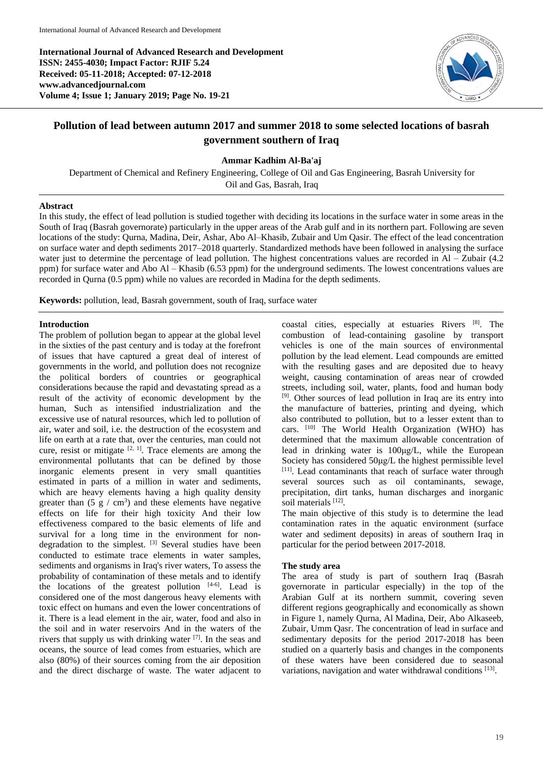**International Journal of Advanced Research and Development ISSN: 2455-4030; Impact Factor: RJIF 5.24 Received: 05-11-2018; Accepted: 07-12-2018 www.advancedjournal.com Volume 4; Issue 1; January 2019; Page No. 19-21**



# **Pollution of lead between autumn 2017 and summer 2018 to some selected locations of basrah government southern of Iraq**

**Ammar Kadhim Al-Ba'aj**

Department of Chemical and Refinery Engineering, College of Oil and Gas Engineering, Basrah University for Oil and Gas, Basrah, Iraq

## **Abstract**

In this study, the effect of lead pollution is studied together with deciding its locations in the surface water in some areas in the South of Iraq (Basrah governorate) particularly in the upper areas of the Arab gulf and in its northern part. Following are seven locations of the study: Qurna, Madina, Deir, Ashar, Abo Al–Khasib, Zubair and Um Qasir. The effect of the lead concentration on surface water and depth sediments 2017–2018 quarterly. Standardized methods have been followed in analysing the surface water just to determine the percentage of lead pollution. The highest concentrations values are recorded in Al – Zubair (4.2) ppm) for surface water and Abo Al – Khasib (6.53 ppm) for the underground sediments. The lowest concentrations values are recorded in Qurna (0.5 ppm) while no values are recorded in Madina for the depth sediments.

**Keywords:** pollution, lead, Basrah government, south of Iraq, surface water

# **Introduction**

The problem of pollution began to appear at the global level in the sixties of the past century and is today at the forefront of issues that have captured a great deal of interest of governments in the world, and pollution does not recognize the political borders of countries or geographical considerations because the rapid and devastating spread as a result of the activity of economic development by the human, Such as intensified industrialization and the excessive use of natural resources, which led to pollution of air, water and soil, i.e. the destruction of the ecosystem and life on earth at a rate that, over the centuries, man could not cure, resist or mitigate  $[2, 1]$ . Trace elements are among the environmental pollutants that can be defined by those inorganic elements present in very small quantities estimated in parts of a million in water and sediments, which are heavy elements having a high quality density greater than  $(5 \text{ g} / \text{ cm}^3)$  and these elements have negative effects on life for their high toxicity And their low effectiveness compared to the basic elements of life and survival for a long time in the environment for nondegradation to the simplest. <sup>[3]</sup> Several studies have been conducted to estimate trace elements in water samples, sediments and organisms in Iraq's river waters, To assess the probability of contamination of these metals and to identify the locations of the greatest pollution  $[4-6]$ . Lead is considered one of the most dangerous heavy elements with toxic effect on humans and even the lower concentrations of it. There is a lead element in the air, water, food and also in the soil and in water reservoirs And in the waters of the rivers that supply us with drinking water [7]. In the seas and oceans, the source of lead comes from estuaries, which are also (80%) of their sources coming from the air deposition and the direct discharge of waste. The water adjacent to

coastal cities, especially at estuaries Rivers [8]. The combustion of lead-containing gasoline by transport vehicles is one of the main sources of environmental pollution by the lead element. Lead compounds are emitted with the resulting gases and are deposited due to heavy weight, causing contamination of areas near of crowded streets, including soil, water, plants, food and human body [9]. Other sources of lead pollution in Iraq are its entry into the manufacture of batteries, printing and dyeing, which also contributed to pollution, but to a lesser extent than to cars. [10] The World Health Organization (WHO) has determined that the maximum allowable concentration of lead in drinking water is 100μg/L, while the European Society has considered 50μg/L the highest permissible level [11]. Lead contaminants that reach of surface water through several sources such as oil contaminants, sewage, precipitation, dirt tanks, human discharges and inorganic soil materials [12].

The main objective of this study is to determine the lead contamination rates in the aquatic environment (surface water and sediment deposits) in areas of southern Iraq in particular for the period between 2017-2018.

# **The study area**

The area of study is part of southern Iraq (Basrah governorate in particular especially) in the top of the Arabian Gulf at its northern summit, covering seven different regions geographically and economically as shown in Figure 1, namely Qurna, Al Madina, Deir, Abo Alkaseeb, Zubair, Umm Qasr. The concentration of lead in surface and sedimentary deposits for the period 2017-2018 has been studied on a quarterly basis and changes in the components of these waters have been considered due to seasonal variations, navigation and water withdrawal conditions [13].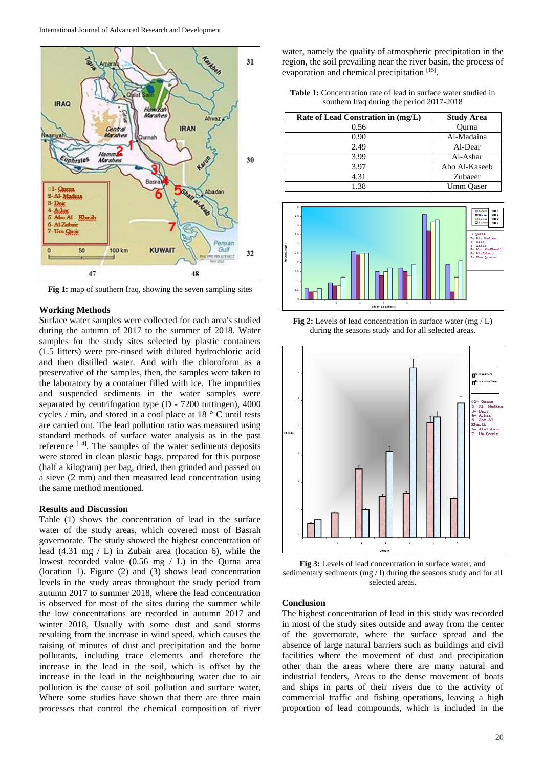

**Fig 1:** map of southern Iraq, showing the seven sampling sites

#### **Working Methods**

Surface water samples were collected for each area's studied during the autumn of 2017 to the summer of 2018. Water samples for the study sites selected by plastic containers (1.5 litters) were pre-rinsed with diluted hydrochloric acid and then distilled water. And with the chloroform as a preservative of the samples, then, the samples were taken to the laboratory by a container filled with ice. The impurities and suspended sediments in the water samples were separated by centrifugation type (D - 7200 tuttingen), 4000 cycles / min, and stored in a cool place at 18 ° C until tests are carried out. The lead pollution ratio was measured using standard methods of surface water analysis as in the past reference [14]. The samples of the water sediments deposits were stored in clean plastic bags, prepared for this purpose (half a kilogram) per bag, dried, then grinded and passed on a sieve (2 mm) and then measured lead concentration using the same method mentioned.

#### **Results and Discussion**

Table (1) shows the concentration of lead in the surface water of the study areas, which covered most of Basrah governorate. The study showed the highest concentration of lead (4.31 mg / L) in Zubair area (location 6), while the lowest recorded value (0.56 mg / L) in the Qurna area (location 1). Figure (2) and (3) shows lead concentration levels in the study areas throughout the study period from autumn 2017 to summer 2018, where the lead concentration is observed for most of the sites during the summer while the low concentrations are recorded in autumn 2017 and winter 2018, Usually with some dust and sand storms resulting from the increase in wind speed, which causes the raising of minutes of dust and precipitation and the borne pollutants, including trace elements and therefore the increase in the lead in the soil, which is offset by the increase in the lead in the neighbouring water due to air pollution is the cause of soil pollution and surface water, Where some studies have shown that there are three main processes that control the chemical composition of river

water, namely the quality of atmospheric precipitation in the region, the soil prevailing near the river basin, the process of evaporation and chemical precipitation [15].

**Table 1:** Concentration rate of lead in surface water studied in southern Iraq during the period 2017-2018

| Rate of Lead Constration in (mg/L) | <b>Study Area</b> |
|------------------------------------|-------------------|
| 0.56                               | Ourna             |
| 0.90                               | Al-Madaina        |
| 2.49                               | Al-Dear           |
| 3.99                               | Al-Ashar          |
| 3.97                               | Abo Al-Kaseeb     |
| 4.31                               | Zubaeer           |
| 1.38                               | Umm Oaser         |



**Fig 2:** Levels of lead concentration in surface water (mg / L) during the seasons study and for all selected areas.



**Fig 3:** Levels of lead concentration in surface water, and sedimentary sediments (mg / l) during the seasons study and for all selected areas.

# **Conclusion**

The highest concentration of lead in this study was recorded in most of the study sites outside and away from the center of the governorate, where the surface spread and the absence of large natural barriers such as buildings and civil facilities where the movement of dust and precipitation other than the areas where there are many natural and industrial fenders, Areas to the dense movement of boats and ships in parts of their rivers due to the activity of commercial traffic and fishing operations, leaving a high proportion of lead compounds, which is included in the